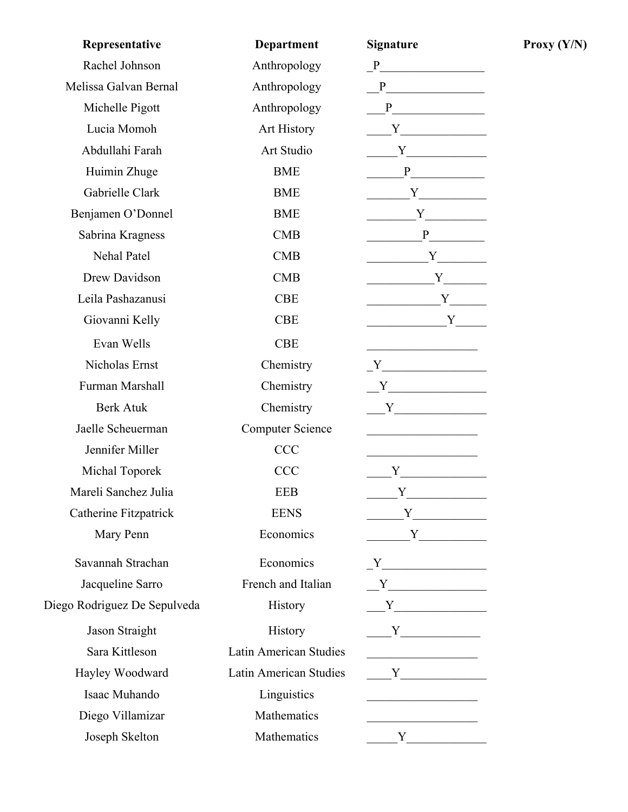| Representative               | <b>Department</b>       | <b>Signature</b>                                                                                                                                                                                                              |
|------------------------------|-------------------------|-------------------------------------------------------------------------------------------------------------------------------------------------------------------------------------------------------------------------------|
| Rachel Johnson               | Anthropology            | P                                                                                                                                                                                                                             |
| Melissa Galvan Bernal        | Anthropology            | $P$ and $P$ and $P$ and $P$ and $P$ and $P$ and $P$ and $P$ and $P$ and $P$ and $P$ and $P$ and $P$ and $P$ and $P$ and $P$ and $P$ and $P$ and $P$ and $P$ and $P$ and $P$ and $P$ and $P$ and $P$ and $P$ and $P$ and $P$ a |
| Michelle Pigott              | Anthropology            | P                                                                                                                                                                                                                             |
| Lucia Momoh                  | <b>Art History</b>      | $\mathbf{Y}$                                                                                                                                                                                                                  |
| Abdullahi Farah              | Art Studio              | $\overline{Y}$                                                                                                                                                                                                                |
| Huimin Zhuge                 | <b>BME</b>              |                                                                                                                                                                                                                               |
| Gabrielle Clark              | <b>BME</b>              |                                                                                                                                                                                                                               |
| Benjamen O'Donnel            | <b>BME</b>              |                                                                                                                                                                                                                               |
| Sabrina Kragness             | CMB                     | P                                                                                                                                                                                                                             |
| <b>Nehal Patel</b>           | <b>CMB</b>              | $\begin{array}{c} \begin{array}{c} \text{---} \\ \text{---} \end{array} \end{array}$                                                                                                                                          |
| Drew Davidson                | CMB                     | $Y_{-}$                                                                                                                                                                                                                       |
| Leila Pashazanusi            | <b>CBE</b>              | Y                                                                                                                                                                                                                             |
| Giovanni Kelly               | <b>CBE</b>              | Y                                                                                                                                                                                                                             |
| Evan Wells                   | <b>CBE</b>              |                                                                                                                                                                                                                               |
| Nicholas Ernst               | Chemistry               | $\begin{tabular}{c} $Y$ & \end{tabular}$                                                                                                                                                                                      |
| Furman Marshall              | Chemistry               | $Y$ and $Y$ and $Y$ and $Y$ and $Y$ and $Y$ and $Y$ and $Y$ and $Y$ and $Y$ and $Y$ and $Y$ and $Y$ and $Y$ and $Y$ and $Y$ and $Y$ and $Y$ and $Y$ and $Y$ and $Y$ and $Y$ and $Y$ and $Y$ and $Y$ and $Y$ and $Y$ and $Y$ a |
| <b>Berk Atuk</b>             | Chemistry               | $\mathbf{Y}$                                                                                                                                                                                                                  |
| Jaelle Scheuerman            | <b>Computer Science</b> | <u> 1989 - Johann Barbara, martin a</u>                                                                                                                                                                                       |
| Jennifer Miller              | <b>CCC</b>              |                                                                                                                                                                                                                               |
| Michal Toporek               | <b>CCC</b>              |                                                                                                                                                                                                                               |
| Mareli Sanchez Julia         | <b>EEB</b>              | Y                                                                                                                                                                                                                             |
| <b>Catherine Fitzpatrick</b> | <b>EENS</b>             | $Y$ and $Y$ and $Y$                                                                                                                                                                                                           |
| Mary Penn                    | Economics               | $Y$ and $Y$ and $Y$ and $Y$ and $Y$ and $Y$ and $Y$ and $Y$ and $Y$ and $Y$ and $Y$ and $Y$ and $Y$ and $Y$ and $Y$ and $Y$ and $Y$ and $Y$ and $Y$ and $Y$ and $Y$ and $Y$ and $Y$ and $Y$ and $Y$ and $Y$ and $Y$ and $Y$ a |
| Savannah Strachan            | Economics               |                                                                                                                                                                                                                               |
| Jacqueline Sarro             | French and Italian      | $Y$ and $Y$ and $Y$ and $Y$ and $Y$ and $Y$ and $Y$ and $Y$ and $Y$ and $Y$ and $Y$ and $Y$ and $Y$ and $Y$ and $Y$ and $Y$ and $Y$ and $Y$ and $Y$ and $Y$ and $Y$ and $Y$ and $Y$ and $Y$ and $Y$ and $Y$ and $Y$ and $Y$ a |
| Diego Rodriguez De Sepulveda | History                 |                                                                                                                                                                                                                               |
| Jason Straight               | History                 |                                                                                                                                                                                                                               |
| Sara Kittleson               | Latin American Studies  |                                                                                                                                                                                                                               |
| Hayley Woodward              | Latin American Studies  | $\mathbf Y$                                                                                                                                                                                                                   |
| Isaac Muhando                | Linguistics             |                                                                                                                                                                                                                               |
| Diego Villamizar             | Mathematics             |                                                                                                                                                                                                                               |
| Joseph Skelton               | Mathematics             | $Y \qquad \qquad$                                                                                                                                                                                                             |

 $Proxy (Y/N)$